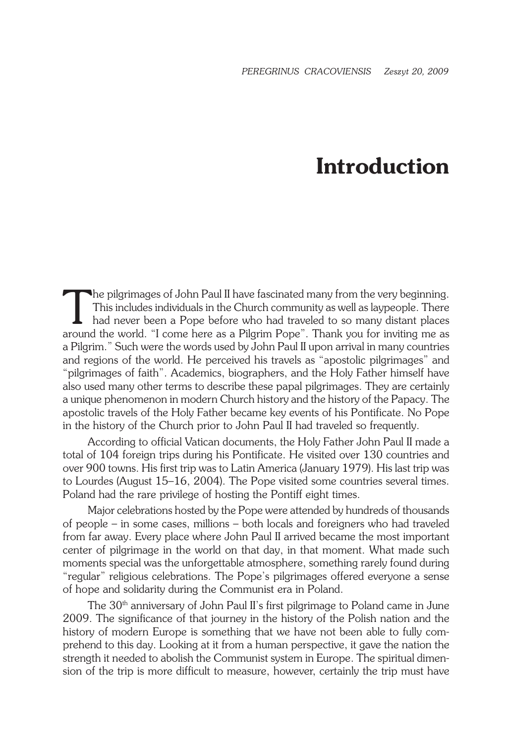## **Introduction**

The pilgrimages of John Paul II have fascinated many from the very beginning.<br>This includes individuals in the Church community as well as laypeople. There had never been a Pope before who had traveled to so many distant p This includes individuals in the Church community as well as laypeople. There had never been a Pope before who had traveled to so many distant places around the world. "I come here as a Pilgrim Pope". Thank you for inviting me as a Pilgrim." Such were the words used by John Paul II upon arrival in many countries and regions of the world. He perceived his travels as "apostolic pilgrimages" and "pilgrimages of faith". Academics, biographers, and the Holy Father himself have also used many other terms to describe these papal pilgrimages. They are certainly a unique phenomenon in modern Church history and the history of the Papacy. The apostolic travels of the Holy Father became key events of his Pontificate. No Pope in the history of the Church prior to John Paul II had traveled so frequently.

According to official Vatican documents, the Holy Father John Paul II made a total of 104 foreign trips during his Pontificate. He visited over 130 countries and over 900 towns. His first trip was to Latin America (January 1979). His last trip was to Lourdes (August 15–16, 2004). The Pope visited some countries several times. Poland had the rare privilege of hosting the Pontiff eight times.

Major celebrations hosted by the Pope were attended by hundreds of thousands of people – in some cases, millions – both locals and foreigners who had traveled from far away. Every place where John Paul II arrived became the most important center of pilgrimage in the world on that day, in that moment. What made such moments special was the unforgettable atmosphere, something rarely found during "regular" religious celebrations. The Pope's pilgrimages offered everyone a sense of hope and solidarity during the Communist era in Poland.

The 30<sup>th</sup> anniversary of John Paul II's first pilgrimage to Poland came in June 2009. The significance of that journey in the history of the Polish nation and the history of modern Europe is something that we have not been able to fully comprehend to this day. Looking at it from a human perspective, it gave the nation the strength it needed to abolish the Communist system in Europe. The spiritual dimension of the trip is more difficult to measure, however, certainly the trip must have